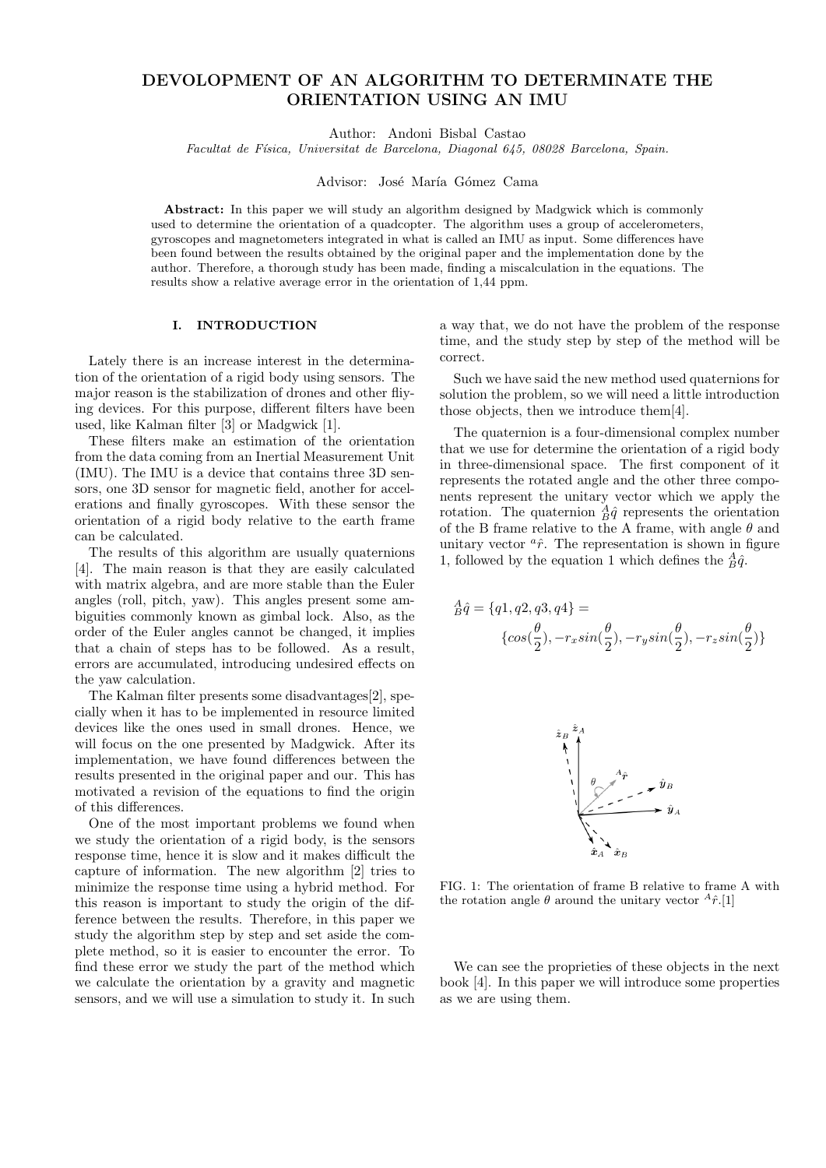# DEVOLOPMENT OF AN ALGORITHM TO DETERMINATE THE ORIENTATION USING AN IMU

Author: Andoni Bisbal Castao

Facultat de Física, Universitat de Barcelona, Diagonal 645, 08028 Barcelona, Spain.

Advisor: José María Gómez Cama

Abstract: In this paper we will study an algorithm designed by Madgwick which is commonly used to determine the orientation of a quadcopter. The algorithm uses a group of accelerometers, gyroscopes and magnetometers integrated in what is called an IMU as input. Some differences have been found between the results obtained by the original paper and the implementation done by the author. Therefore, a thorough study has been made, finding a miscalculation in the equations. The results show a relative average error in the orientation of 1,44 ppm.

## I. INTRODUCTION

Lately there is an increase interest in the determination of the orientation of a rigid body using sensors. The major reason is the stabilization of drones and other fliying devices. For this purpose, different filters have been used, like Kalman filter [3] or Madgwick [1].

These filters make an estimation of the orientation from the data coming from an Inertial Measurement Unit (IMU). The IMU is a device that contains three 3D sensors, one 3D sensor for magnetic field, another for accelerations and finally gyroscopes. With these sensor the orientation of a rigid body relative to the earth frame can be calculated.

The results of this algorithm are usually quaternions [4]. The main reason is that they are easily calculated with matrix algebra, and are more stable than the Euler angles (roll, pitch, yaw). This angles present some ambiguities commonly known as gimbal lock. Also, as the order of the Euler angles cannot be changed, it implies that a chain of steps has to be followed. As a result, errors are accumulated, introducing undesired effects on the yaw calculation.

The Kalman filter presents some disadvantages[2], specially when it has to be implemented in resource limited devices like the ones used in small drones. Hence, we will focus on the one presented by Madgwick. After its implementation, we have found differences between the results presented in the original paper and our. This has motivated a revision of the equations to find the origin of this differences.

One of the most important problems we found when we study the orientation of a rigid body, is the sensors response time, hence it is slow and it makes difficult the capture of information. The new algorithm [2] tries to minimize the response time using a hybrid method. For this reason is important to study the origin of the difference between the results. Therefore, in this paper we study the algorithm step by step and set aside the complete method, so it is easier to encounter the error. To find these error we study the part of the method which we calculate the orientation by a gravity and magnetic sensors, and we will use a simulation to study it. In such a way that, we do not have the problem of the response time, and the study step by step of the method will be correct.

Such we have said the new method used quaternions for solution the problem, so we will need a little introduction those objects, then we introduce them[4].

The quaternion is a four-dimensional complex number that we use for determine the orientation of a rigid body in three-dimensional space. The first component of it represents the rotated angle and the other three components represent the unitary vector which we apply the rotation. The quaternion  $\frac{A}{B}\hat{q}$  represents the orientation of the B frame relative to the A frame, with angle  $\theta$  and unitary vector  ${}^{a}\hat{r}$ . The representation is shown in figure 1, followed by the equation 1 which defines the  $\frac{A}{B}\hat{q}$ .

$$
\begin{aligned} \,_{B}^{A}\hat{q} & = \{q1,q2,q3,q4\} = \\ & \{cos(\frac{\theta}{2}), -r_{x}sin(\frac{\theta}{2}), -r_{y}sin(\frac{\theta}{2}), -r_{z}sin(\frac{\theta}{2})\} \end{aligned}
$$



FIG. 1: The orientation of frame B relative to frame A with the rotation angle  $\theta$  around the unitary vector  ${}^{A}\hat{r}.[1]$ 

We can see the proprieties of these objects in the next book [4]. In this paper we will introduce some properties as we are using them.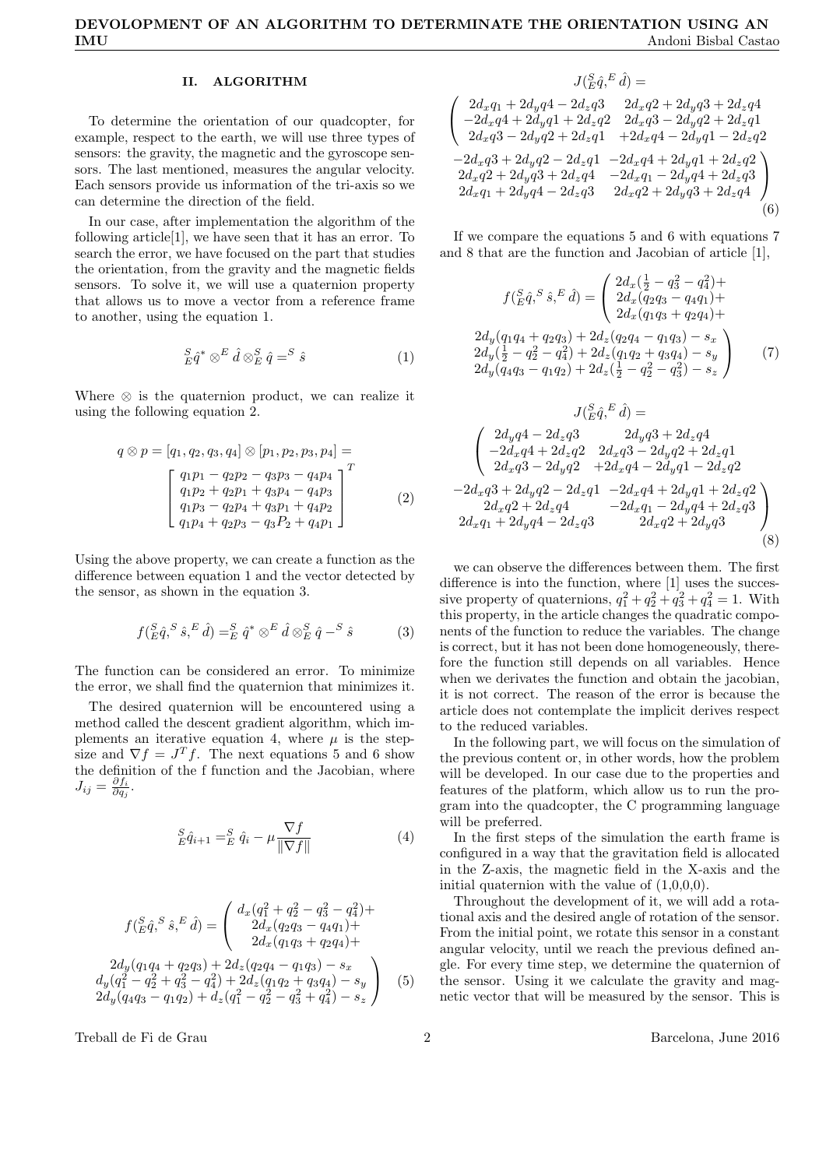# II. ALGORITHM

To determine the orientation of our quadcopter, for example, respect to the earth, we will use three types of sensors: the gravity, the magnetic and the gyroscope sensors. The last mentioned, measures the angular velocity. Each sensors provide us information of the tri-axis so we can determine the direction of the field.

In our case, after implementation the algorithm of the following article[1], we have seen that it has an error. To search the error, we have focused on the part that studies the orientation, from the gravity and the magnetic fields sensors. To solve it, we will use a quaternion property that allows us to move a vector from a reference frame to another, using the equation 1.

$$
{}_{E}^{S}\hat{q}^* \otimes^{E}\hat{d} \otimes^{S}_{E}\hat{q} = ^{S}\hat{s}
$$
 (1)

Where  $\otimes$  is the quaternion product, we can realize it using the following equation 2.

$$
q \otimes p = [q_1, q_2, q_3, q_4] \otimes [p_1, p_2, p_3, p_4] =
$$
  

$$
\begin{bmatrix} q_1p_1 - q_2p_2 - q_3p_3 - q_4p_4 \\ q_1p_2 + q_2p_1 + q_3p_4 - q_4p_3 \\ q_1p_3 - q_2p_4 + q_3p_1 + q_4p_2 \\ q_1p_4 + q_2p_3 - q_3P_2 + q_4p_1 \end{bmatrix}^T
$$
  
(2)

Using the above property, we can create a function as the difference between equation 1 and the vector detected by the sensor, as shown in the equation 3.

$$
f(E \hat{q}, S \hat{s}, E \hat{d}) =_{E}^{S} \hat{q}^* \otimes^{E} \hat{d} \otimes_{E}^{S} \hat{q} - S \hat{s}
$$
 (3)

The function can be considered an error. To minimize the error, we shall find the quaternion that minimizes it.

The desired quaternion will be encountered using a method called the descent gradient algorithm, which implements an iterative equation 4, where  $\mu$  is the stepsize and  $\nabla f = J^T f$ . The next equations 5 and 6 show the definition of the f function and the Jacobian, where  $J_{ij} = \frac{\partial f_i}{\partial q_j}.$ 

$$
{}_{E}^{S}\hat{q}_{i+1} = {}_{E}^{S}\hat{q}_{i} - \mu \frac{\nabla f}{\|\nabla f\|}\tag{4}
$$

$$
f(\frac{S}{E}\hat{q}, \frac{S}{S}\hat{s}, E\hat{d}) = \begin{pmatrix} d_x(q_1^2 + q_2^2 - q_3^2 - q_4^2) + 2d_x(q_2q_3 - q_4q_1) + 2d_x(q_1q_3 + q_2q_4) + 2d_x(q_1q_3 + q_2q_4) + 2d_y(q_1^2 - q_2^2 + q_3^2 - q_4^2) + 2d_z(q_1q_2 + q_3q_4) - s_x \\ d_y(q_1^2 - q_2^2 + q_3^2 - q_4^2) + 2d_z(q_1q_2 + q_3q_4) - s_y \\ 2d_y(q_4q_3 - q_1q_2) + d_z(q_1^2 - q_2^2 - q_3^2 + q_4^2) - s_z \end{pmatrix}
$$
(5)

Treball de Fi de Grau 2 2 Barcelona, June 2016

$$
J(\substack{S \\ E} \hat{q}, \substack{F \\ Q} \hat{q}) =
$$
\n
$$
\begin{pmatrix}\n2d_x q_1 + 2d_y q_4 - 2d_z q_3 & 2d_x q_2 + 2d_y q_3 + 2d_z q_4 \\
-2d_x q_4 + 2d_y q_1 + 2d_z q_2 & 2d_x q_3 - 2d_y q_2 + 2d_z q_1 \\
2d_x q_3 - 2d_y q_2 + 2d_z q_1 & + 2d_x q_4 - 2d_y q_1 - 2d_z q_2\n\end{pmatrix}
$$
\n
$$
-2d_x q_3 + 2d_y q_2 - 2d_z q_1 - 2d_x q_4 + 2d_y q_1 + 2d_z q_2
$$
\n
$$
2d_x q_2 + 2d_y q_3 + 2d_z q_4 & -2d_x q_1 - 2d_y q_4 + 2d_z q_3
$$
\n
$$
2d_x q_1 + 2d_y q_4 - 2d_z q_3 & 2d_x q_2 + 2d_y q_3 + 2d_z q_4
$$
\n(6)

If we compare the equations 5 and 6 with equations 7 and 8 that are the function and Jacobian of article [1],

$$
f(\stackrel{S}{E}\hat{q},\stackrel{S}{S}\hat{s},\stackrel{E}{A}) = \begin{pmatrix} 2d_x(\frac{1}{2} - q_3^2 - q_4^2) + \\ 2d_x(q_2q_3 - q_4q_1) + \\ 2d_x(q_1q_3 + q_2q_4) + \\ 2d_y(\frac{1}{2} - q_2^2 - q_4^2) + 2d_z(q_1q_2 + q_3q_4) - s_y \\ 2d_y(\frac{1}{2} - q_2^2 - q_4^2) + 2d_z(q_1q_2 + q_3q_4) - s_y \\ 2d_y(q_4q_3 - q_1q_2) + 2d_z(\frac{1}{2} - q_2^2 - q_3^2) - s_z \end{pmatrix} \tag{7}
$$

$$
J(\substack{S \hat{q}, E \hat{d}}) =
$$
\n
$$
\begin{pmatrix}\n2d_y q4 - 2d_z q3 & 2d_y q3 + 2d_z q4 \\
-2d_x q4 + 2d_z q2 & 2d_x q3 - 2d_y q2 + 2d_z q1 \\
2d_x q3 - 2d_y q2 & +2d_x q4 - 2d_y q1 - 2d_z q2\n\end{pmatrix}
$$
\n
$$
-2d_x q3 + 2d_y q2 - 2d_z q1 - 2d_x q4 + 2d_y q1 + 2d_z q2
$$
\n
$$
2d_x q2 + 2d_z q4 & -2d_x q_1 - 2d_y q4 + 2d_z q3
$$
\n
$$
2d_x q_1 + 2d_y q4 - 2d_z q3 & 2d_x q2 + 2d_y q3
$$
\n(8)

we can observe the differences between them. The first difference is into the function, where [1] uses the successive property of quaternions,  $q_1^2 + q_2^2 + q_3^2 + q_4^2 = 1$ . With this property, in the article changes the quadratic components of the function to reduce the variables. The change is correct, but it has not been done homogeneously, therefore the function still depends on all variables. Hence when we derivates the function and obtain the jacobian, it is not correct. The reason of the error is because the article does not contemplate the implicit derives respect to the reduced variables.

In the following part, we will focus on the simulation of the previous content or, in other words, how the problem will be developed. In our case due to the properties and features of the platform, which allow us to run the program into the quadcopter, the C programming language will be preferred.

In the first steps of the simulation the earth frame is configured in a way that the gravitation field is allocated in the Z-axis, the magnetic field in the X-axis and the initial quaternion with the value of  $(1,0,0,0)$ .

Throughout the development of it, we will add a rotational axis and the desired angle of rotation of the sensor. From the initial point, we rotate this sensor in a constant angular velocity, until we reach the previous defined angle. For every time step, we determine the quaternion of the sensor. Using it we calculate the gravity and magnetic vector that will be measured by the sensor. This is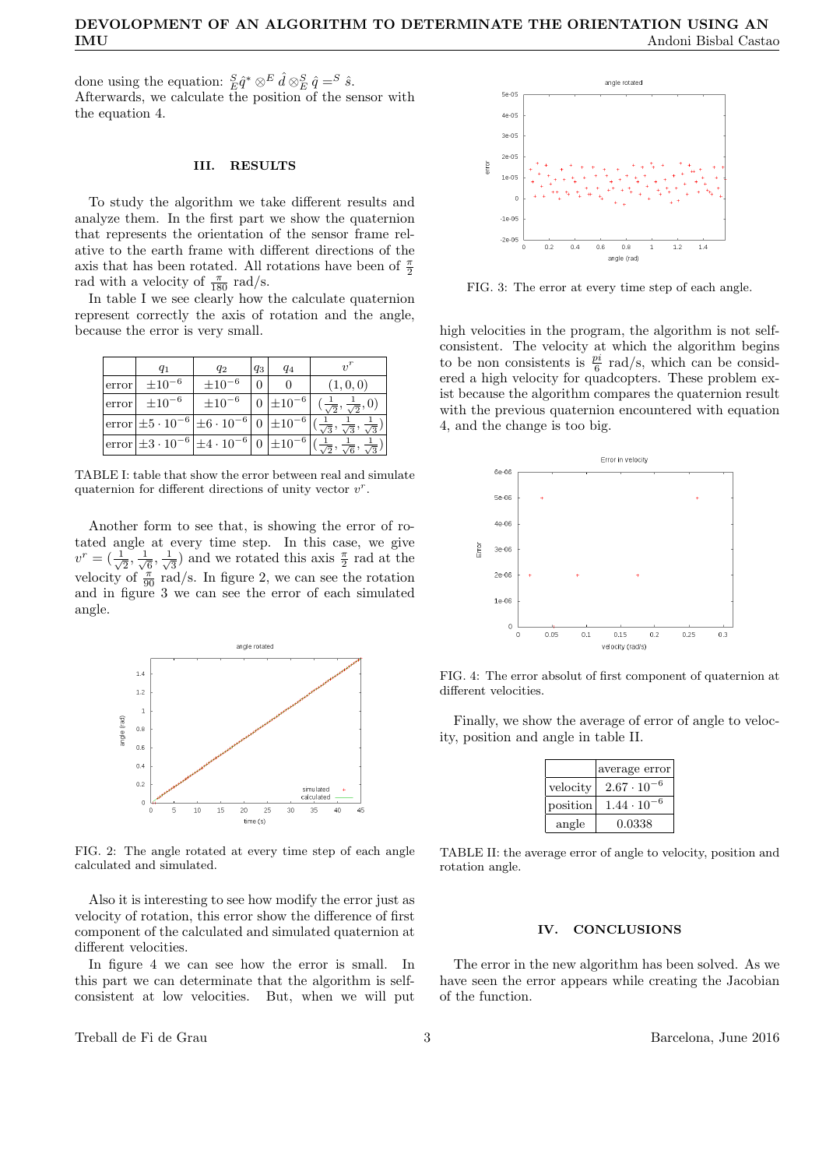done using the equation:  ${}_{E}^{S} \hat{q}^* \otimes^E \hat{d} \otimes^S_{E} \hat{q} = S \hat{s}$ . Afterwards, we calculate the position of the sensor with the equation 4.

#### III. RESULTS

To study the algorithm we take different results and analyze them. In the first part we show the quaternion that represents the orientation of the sensor frame relative to the earth frame with different directions of the axis that has been rotated. All rotations have been of  $\frac{\pi}{2}$ rad with a velocity of  $\frac{\pi}{180}$  rad/s.

In table I we see clearly how the calculate quaternion represent correctly the axis of rotation and the angle, because the error is very small.

|       | $q_1$                                                                                                                                                      | $q_2$         | $q_3$ | $q_4$              | $\gamma$ <sup>r</sup>                                                                                                                       |
|-------|------------------------------------------------------------------------------------------------------------------------------------------------------------|---------------|-------|--------------------|---------------------------------------------------------------------------------------------------------------------------------------------|
| error | $\pm 10^{-6}$                                                                                                                                              | $\pm 10^{-6}$ | 0     |                    | (1,0,0)                                                                                                                                     |
| error | $\pm 10^{-6}$                                                                                                                                              | $\pm 10^{-6}$ |       | $ 0  \pm 10^{-6} $ | $(\frac{1}{\sqrt{2}}, \frac{1}{\sqrt{2}}, 0)$                                                                                               |
|       |                                                                                                                                                            |               |       |                    | error $\pm 5 \cdot 10^{-6}$ $\pm 6 \cdot 10^{-6}$ 0 $\pm 10^{-6}$ $\left(\frac{1}{\sqrt{3}}, \frac{1}{\sqrt{3}}, \frac{1}{\sqrt{3}}\right)$ |
|       | $\rm \left\lceil \mathrm{error} \right\rceil \pm 3 \cdot 10^{-6} \left\lceil \pm 4 \cdot 10^{-6} \right\rceil 0 \left\lceil \pm 10^{-6} \right\rceil (-1)$ |               |       |                    | $\overline{\sqrt{6}}$ ,<br>夜                                                                                                                |

TABLE I: table that show the error between real and simulate quaternion for different directions of unity vector  $v^r$ .

Another form to see that, is showing the error of rotated angle at every time step. In this case, we give  $v^r = \left(\frac{1}{\sqrt{2}}\right)$  $\frac{1}{2}, \frac{1}{\sqrt{2}}$  $\overline{\overline{6}}$  ,  $\frac{1}{\sqrt{2}}$  $\frac{1}{3}$ ) and we rotated this axis  $\frac{\pi}{2}$  rad at the velocity of  $\frac{\pi}{90}$  rad/s. In figure 2, we can see the rotation and in figure 3 we can see the error of each simulated angle.



FIG. 2: The angle rotated at every time step of each angle calculated and simulated.

Also it is interesting to see how modify the error just as velocity of rotation, this error show the difference of first component of the calculated and simulated quaternion at different velocities.

In figure 4 we can see how the error is small. In this part we can determinate that the algorithm is selfconsistent at low velocities. But, when we will put

Treball de Fi de Grau 3 Barcelona, June 2016



FIG. 3: The error at every time step of each angle.

high velocities in the program, the algorithm is not selfconsistent. The velocity at which the algorithm begins to be non consistents is  $\frac{pi}{6}$  rad/s, which can be considered a high velocity for quadcopters. These problem exist because the algorithm compares the quaternion result with the previous quaternion encountered with equation 4, and the change is too big.



FIG. 4: The error absolut of first component of quaternion at different velocities.

Finally, we show the average of error of angle to velocity, position and angle in table II.

|          | average error        |
|----------|----------------------|
| velocity | $2.67 \cdot 10^{-7}$ |
| position | $1.44 \cdot 10^{-7}$ |
| angle    | 0.0338               |

TABLE II: the average error of angle to velocity, position and rotation angle.

#### IV. CONCLUSIONS

The error in the new algorithm has been solved. As we have seen the error appears while creating the Jacobian of the function.